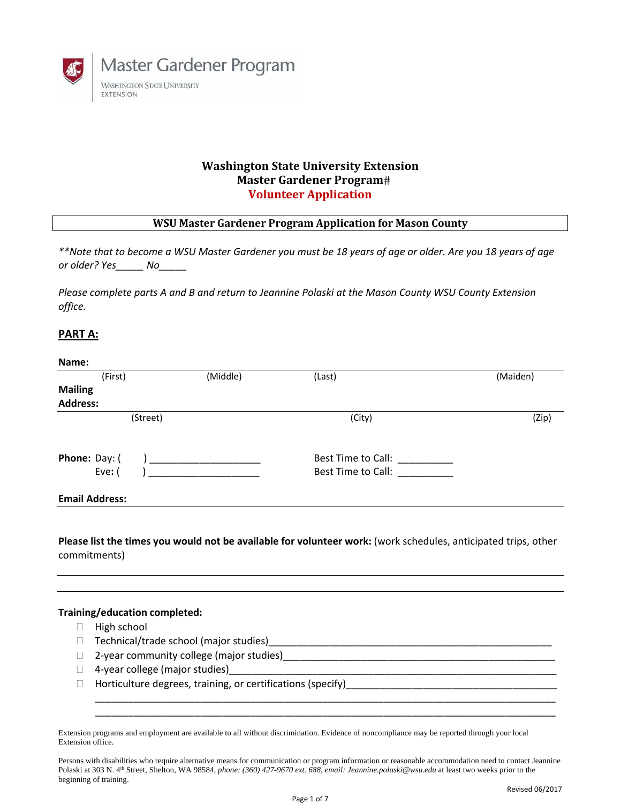

# **Washington State University Extension Master Gardener Program Volunteer Application**

### **WSU Master Gardener Program Application for Mason County**

\*\*Note that to become a WSU Master Gardener you must be 18 years of age or older. Are you 18 years of age *or older? Yes\_\_\_\_\_ No\_\_\_\_\_*

Please complete parts A and B and return to Jeannine Polaski at the Mason County WSU County Extension *office.*

### **PART A:**

| Name:                             |          |                                          |          |
|-----------------------------------|----------|------------------------------------------|----------|
| (First)                           | (Middle) | (Last)                                   | (Maiden) |
| <b>Mailing</b><br><b>Address:</b> |          |                                          |          |
| (Street)                          |          | (City)                                   | (Zip)    |
| Phone: Day: (<br>Eve: (           |          | Best Time to Call:<br>Best Time to Call: |          |
| <b>Email Address:</b>             |          |                                          |          |

**Please list the times you would not be available for volunteer work:** (work schedules, anticipated trips, other commitments)

#### **Training/education completed:**

- $\Box$  High school
- Technical/trade school (major studies)\_\_\_\_\_\_\_\_\_\_\_\_\_\_\_\_\_\_\_\_\_\_\_\_\_\_\_\_\_\_\_\_\_\_\_\_\_\_\_\_\_\_\_\_\_\_\_\_\_\_\_
- $\Box$  2-year community college (major studies)
- □ 4-year college (major studies)
- $\Box$  Horticulture degrees, training, or certifications (specify)

\_\_\_\_\_\_\_\_\_\_\_\_\_\_\_\_\_\_\_\_\_\_\_\_\_\_\_\_\_\_\_\_\_\_\_\_\_\_\_\_\_\_\_\_\_\_\_\_\_\_\_\_\_\_\_\_\_\_\_\_\_\_\_\_\_\_\_\_\_\_\_\_\_\_\_\_\_\_\_\_\_\_\_ \_\_\_\_\_\_\_\_\_\_\_\_\_\_\_\_\_\_\_\_\_\_\_\_\_\_\_\_\_\_\_\_\_\_\_\_\_\_\_\_\_\_\_\_\_\_\_\_\_\_\_\_\_\_\_\_\_\_\_\_\_\_\_\_\_\_\_\_\_\_\_\_\_\_\_\_\_\_\_\_\_\_\_

Extension programs and employment are available to all without discrimination. Evidence of noncompliance may be reported through your local Extension office.

Persons with disabilities who require alternative means for communication or program information or reasonable accommodation need to contact Jeannine Polaski at 303 N. 4th Street, Shelton, WA 98584*, phone: (360) 427-9670 ext. 688, email: Jeannine.polaski@wsu.edu* at least two weeks prior to the beginning of training.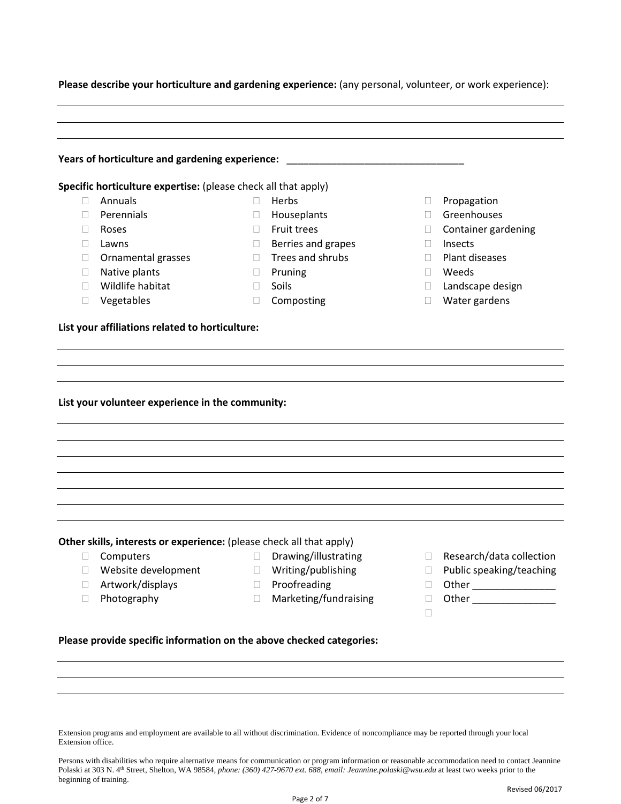|              | Years of horticulture and gardening experience:                      |              | <u> 1989 - Jan Barbara, manazarta da </u> |              |                                                                                                                                                                                                                                |
|--------------|----------------------------------------------------------------------|--------------|-------------------------------------------|--------------|--------------------------------------------------------------------------------------------------------------------------------------------------------------------------------------------------------------------------------|
|              | Specific horticulture expertise: (please check all that apply)       |              |                                           |              |                                                                                                                                                                                                                                |
| П            | Annuals                                                              | $\Box$       | Herbs                                     | $\mathbf{L}$ | Propagation                                                                                                                                                                                                                    |
| Н            | Perennials                                                           | $\Box$       | Houseplants                               | $\Box$       | Greenhouses                                                                                                                                                                                                                    |
| $\Box$       | Roses                                                                | П.           | <b>Fruit trees</b>                        | $\Box$       | Container gardening                                                                                                                                                                                                            |
| $\Box$       | Lawns                                                                | $\Box$       | Berries and grapes                        | $\Box$       | Insects                                                                                                                                                                                                                        |
| $\Box$       | Ornamental grasses                                                   | $\mathbf{L}$ | Trees and shrubs                          | П            | Plant diseases                                                                                                                                                                                                                 |
| $\Box$       | Native plants                                                        | $\Box$       | Pruning                                   | $\Box$       | Weeds                                                                                                                                                                                                                          |
| $\mathbf{L}$ | Wildlife habitat                                                     | $\Box$       | Soils                                     | $\Box$       | Landscape design                                                                                                                                                                                                               |
| П            | Vegetables                                                           | $\Box$       | Composting                                | $\Box$       | Water gardens                                                                                                                                                                                                                  |
|              | List your affiliations related to horticulture:                      |              |                                           |              |                                                                                                                                                                                                                                |
|              | List your volunteer experience in the community:                     |              |                                           |              |                                                                                                                                                                                                                                |
|              | Other skills, interests or experience: (please check all that apply) |              |                                           |              |                                                                                                                                                                                                                                |
| $\Box$       | Computers                                                            |              | Drawing/illustrating                      |              | Research/data collection                                                                                                                                                                                                       |
| □            | Website development                                                  | $\Box$       | Writing/publishing                        | П            |                                                                                                                                                                                                                                |
| ⊔            | Artwork/displays                                                     | u            | Proofreading                              | u            | Public speaking/teaching<br>Other __________________                                                                                                                                                                           |
| $\Box$       | Photography                                                          | $\Box$       | Marketing/fundraising                     | $\Box$<br>□  | Other and the control of the control of the control of the control of the control of the control of the control of the control of the control of the control of the control of the control of the control of the control of th |

**Please describe your horticulture and gardening experience:** (any personal, volunteer, or work experience):

Extension programs and employment are available to all without discrimination. Evidence of noncompliance may be reported through your local Extension office.

Persons with disabilities who require alternative means for communication or program information or reasonable accommodation need to contact Jeannine Polaski at 303 N. 4th Street, Shelton, WA 98584*, phone: (360) 427-9670 ext. 688, email: Jeannine.polaski@wsu.edu* at least two weeks prior to the beginning of training.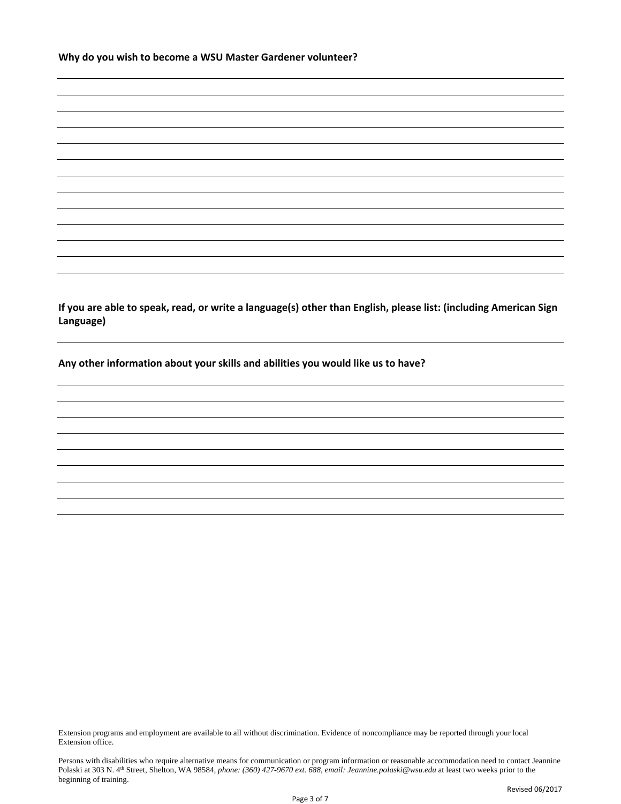If you are able to speak, read, or write a language(s) other than English, please list: (including American Sign **Language)**

**Any other information about your skills and abilities you would like us to have?**

Extension programs and employment are available to all without discrimination. Evidence of noncompliance may be reported through your local Extension office.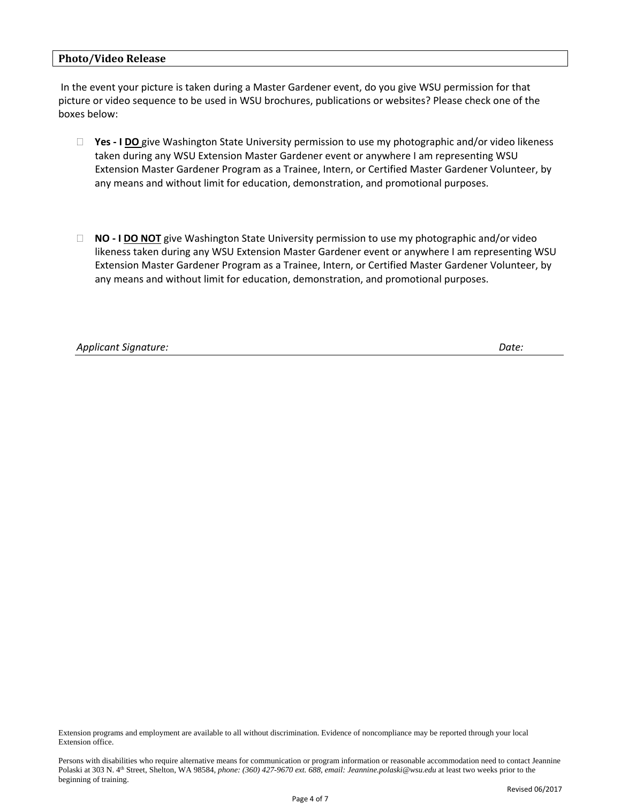### **Photo/Video Release**

In the event your picture is taken during a Master Gardener event, do you give WSU permission for that picture or video sequence to be used in WSU brochures, publications or websites? Please check one of the boxes below:

- **Yes ‐ I DO** give Washington State University permission to use my photographic and/or video likeness taken during any WSU Extension Master Gardener event or anywhere I am representing WSU Extension Master Gardener Program as a Trainee, Intern, or Certified Master Gardener Volunteer, by any means and without limit for education, demonstration, and promotional purposes.
- **NO ‐ I DO NOT** give Washington State University permission to use my photographic and/or video likeness taken during any WSU Extension Master Gardener event or anywhere I am representing WSU Extension Master Gardener Program as a Trainee, Intern, or Certified Master Gardener Volunteer, by any means and without limit for education, demonstration, and promotional purposes.

*Applicant Signature: Date:* 

Extension programs and employment are available to all without discrimination. Evidence of noncompliance may be reported through your local Extension office.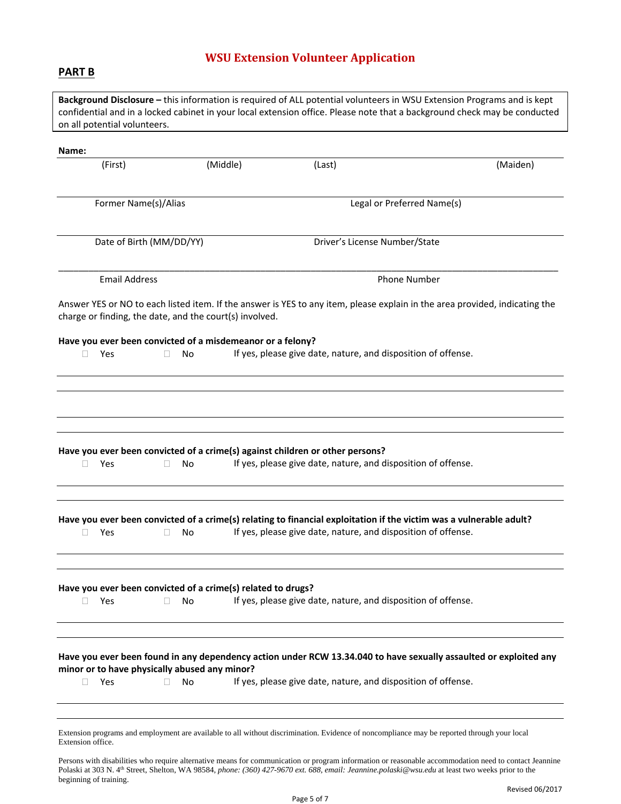# **WSU Extension Volunteer Application**

## **PART B**

**Background Disclosure –** this information is required of ALL potential volunteers in WSU Extension Programs and is kept confidential and in a locked cabinet in your local extension office. Please note that a background check may be conducted on all potential volunteers.

| (First)                                                                  |                          | (Middle) | (Last)                                                                        | (Maiden)                                                                                                                    |  |  |
|--------------------------------------------------------------------------|--------------------------|----------|-------------------------------------------------------------------------------|-----------------------------------------------------------------------------------------------------------------------------|--|--|
| Former Name(s)/Alias                                                     |                          |          | Legal or Preferred Name(s)                                                    |                                                                                                                             |  |  |
|                                                                          | Date of Birth (MM/DD/YY) |          | Driver's License Number/State                                                 |                                                                                                                             |  |  |
| <b>Email Address</b>                                                     |                          |          |                                                                               | Phone Number                                                                                                                |  |  |
| charge or finding, the date, and the court(s) involved.                  |                          |          |                                                                               | Answer YES or NO to each listed item. If the answer is YES to any item, please explain in the area provided, indicating the |  |  |
| Have you ever been convicted of a misdemeanor or a felony?               |                          |          |                                                                               |                                                                                                                             |  |  |
| Yes<br>$\Box$                                                            | No<br>П                  |          | If yes, please give date, nature, and disposition of offense.                 |                                                                                                                             |  |  |
|                                                                          |                          |          |                                                                               |                                                                                                                             |  |  |
|                                                                          |                          |          | Have you ever been convicted of a crime(s) against children or other persons? |                                                                                                                             |  |  |
| Yes<br>П                                                                 | No<br>$\Box$             |          | If yes, please give date, nature, and disposition of offense.                 |                                                                                                                             |  |  |
| Yes<br>Ш                                                                 | No<br>$\Box$             |          | If yes, please give date, nature, and disposition of offense.                 | Have you ever been convicted of a crime(s) relating to financial exploitation if the victim was a vulnerable adult?         |  |  |
| Have you ever been convicted of a crime(s) related to drugs?<br>Yes<br>Ш | No                       |          | If yes, please give date, nature, and disposition of offense.                 |                                                                                                                             |  |  |
| minor or to have physically abused any minor?                            |                          |          |                                                                               | Have you ever been found in any dependency action under RCW 13.34.040 to have sexually assaulted or exploited any           |  |  |
| Yes<br>$\Box$                                                            | П<br>No                  |          | If yes, please give date, nature, and disposition of offense.                 |                                                                                                                             |  |  |

Extension programs and employment are available to all without discrimination. Evidence of noncompliance may be reported through your local Extension office.

Persons with disabilities who require alternative means for communication or program information or reasonable accommodation need to contact Jeannine Polaski at 303 N. 4th Street, Shelton, WA 98584*, phone: (360) 427-9670 ext. 688, email: Jeannine.polaski@wsu.edu* at least two weeks prior to the beginning of training.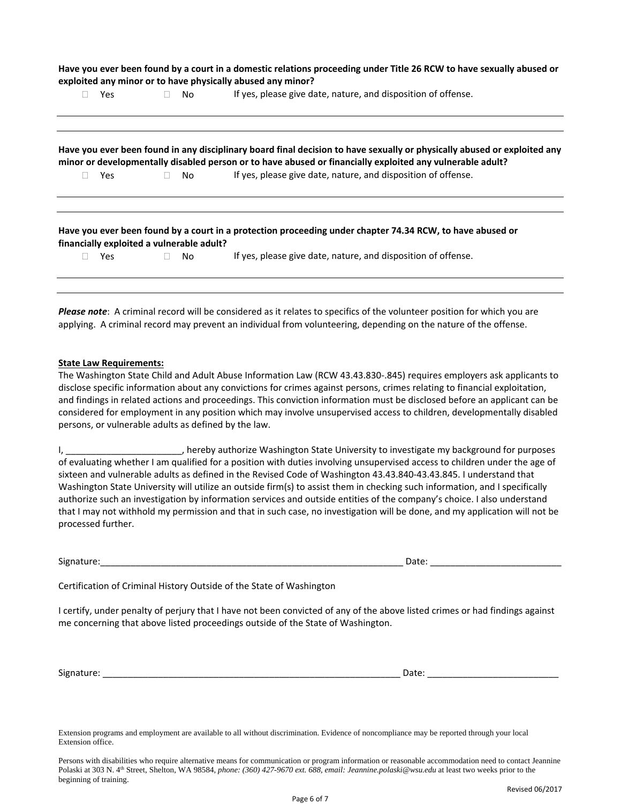| Have you ever been found by a court in a domestic relations proceeding under Title 26 RCW to have sexually abused or<br>exploited any minor or to have physically abused any minor? |                                                  |              |           |                                                                                                                                                                                                                                       |
|-------------------------------------------------------------------------------------------------------------------------------------------------------------------------------------|--------------------------------------------------|--------------|-----------|---------------------------------------------------------------------------------------------------------------------------------------------------------------------------------------------------------------------------------------|
| П.                                                                                                                                                                                  | Yes                                              | П.           | <b>No</b> | If yes, please give date, nature, and disposition of offense.                                                                                                                                                                         |
|                                                                                                                                                                                     |                                                  |              |           |                                                                                                                                                                                                                                       |
|                                                                                                                                                                                     |                                                  |              |           | Have you ever been found in any disciplinary board final decision to have sexually or physically abused or exploited any<br>minor or developmentally disabled person or to have abused or financially exploited any vulnerable adult? |
| П.                                                                                                                                                                                  | Yes                                              | П.           | No        | If yes, please give date, nature, and disposition of offense.                                                                                                                                                                         |
|                                                                                                                                                                                     |                                                  |              |           | Have you ever been found by a court in a protection proceeding under chapter 74.34 RCW, to have abused or                                                                                                                             |
| $\Box$                                                                                                                                                                              | financially exploited a vulnerable adult?<br>Yes | $\mathbf{L}$ | No.       | If yes, please give date, nature, and disposition of offense.                                                                                                                                                                         |
|                                                                                                                                                                                     |                                                  |              |           | Please note: A criminal record will be considered as it relates to specifics of the volunteer position for which you are                                                                                                              |
|                                                                                                                                                                                     |                                                  |              |           | applying. A criminal record may prevent an individual from volunteering, depending on the nature of the offense.                                                                                                                      |
|                                                                                                                                                                                     | <b>State Law Requirements:</b>                   |              |           | The Washington State Child and Adult Abuse Information Law (RCW 43.43.830-.845) requires employers ask applicants to                                                                                                                  |
|                                                                                                                                                                                     |                                                  |              |           | dicolace specific information about any convictions for eximes against norsons, eximps relative to financial ovalattation                                                                                                             |

disclose specific information about any convictions for crimes against persons, crimes relating to financial exploitation, and findings in related actions and proceedings. This conviction information must be disclosed before an applicant can be considered for employment in any position which may involve unsupervised access to children, developmentally disabled persons, or vulnerable adults as defined by the law.

I, \_\_\_\_\_\_\_\_\_\_\_\_\_\_\_\_\_\_\_\_\_\_\_, hereby authorize Washington State University to investigate my background for purposes of evaluating whether I am qualified for a position with duties involving unsupervised access to children under the age of sixteen and vulnerable adults as defined in the Revised Code of Washington 43.43.840‐43.43.845. I understand that Washington State University will utilize an outside firm(s) to assist them in checking such information, and I specifically authorize such an investigation by information services and outside entities of the company's choice. I also understand that I may not withhold my permission and that in such case, no investigation will be done, and my application will not be processed further.

Signature:\_\_\_\_\_\_\_\_\_\_\_\_\_\_\_\_\_\_\_\_\_\_\_\_\_\_\_\_\_\_\_\_\_\_\_\_\_\_\_\_\_\_\_\_\_\_\_\_\_\_\_\_\_\_\_\_\_\_\_\_ Date: \_\_\_\_\_\_\_\_\_\_\_\_\_\_\_\_\_\_\_\_\_\_\_\_\_\_

Certification of Criminal History Outside of the State of Washington

I certify, under penalty of perjury that I have not been convicted of any of the above listed crimes or had findings against me concerning that above listed proceedings outside of the State of Washington.

Signature: \_\_\_\_\_\_\_\_\_\_\_\_\_\_\_\_\_\_\_\_\_\_\_\_\_\_\_\_\_\_\_\_\_\_\_\_\_\_\_\_\_\_\_\_\_\_\_\_\_\_\_\_\_\_\_\_\_\_\_ Date: \_\_\_\_\_\_\_\_\_\_\_\_\_\_\_\_\_\_\_\_\_\_\_\_\_\_

Extension programs and employment are available to all without discrimination. Evidence of noncompliance may be reported through your local Extension office.

Persons with disabilities who require alternative means for communication or program information or reasonable accommodation need to contact Jeannine Polaski at 303 N. 4th Street, Shelton, WA 98584*, phone: (360) 427-9670 ext. 688, email: Jeannine.polaski@wsu.edu* at least two weeks prior to the beginning of training.